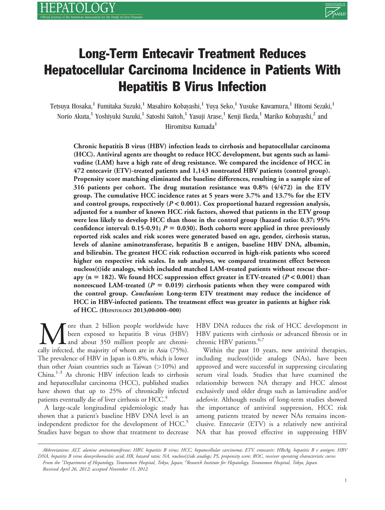# Long-Term Entecavir Treatment Reduces Hepatocellular Carcinoma Incidence in Patients With Hepatitis B Virus Infection

Tetsuya Hosaka,<sup>1</sup> Fumitaka Suzuki,<sup>1</sup> Masahiro Kobayashi,<sup>1</sup> Yuya Seko,<sup>1</sup> Yusuke Kawamura,<sup>1</sup> Hitomi Sezaki,<sup>1</sup> Norio Akuta,<sup>1</sup> Yoshiyuki Suzuki,<sup>1</sup> Satoshi Saitoh,<sup>1</sup> Yasuji Arase,<sup>1</sup> Kenji Ikeda,<sup>1</sup> Mariko Kobayashi,<sup>2</sup> and Hiromitsu Kumada<sup>1</sup>

Chronic hepatitis B virus (HBV) infection leads to cirrhosis and hepatocellular carcinoma (HCC). Antiviral agents are thought to reduce HCC development, but agents such as lamivudine (LAM) have a high rate of drug resistance. We compared the incidence of HCC in 472 entecavir (ETV)-treated patients and 1,143 nontreated HBV patients (control group). Propensity score matching eliminated the baseline differences, resulting in a sample size of 316 patients per cohort. The drug mutation resistance was 0.8% (4/472) in the ETV group. The cumulative HCC incidence rates at 5 years were 3.7% and 13.7% for the ETV and control groups, respectively  $(P < 0.001)$ . Cox proportional hazard regression analysis, adjusted for a number of known HCC risk factors, showed that patients in the ETV group were less likely to develop HCC than those in the control group (hazard ratio: 0.37; 95% confidence interval: 0.15-0.91;  $P = 0.030$ ). Both cohorts were applied in three previously reported risk scales and risk scores were generated based on age, gender, cirrhosis status, levels of alanine aminotransferase, hepatitis B e antigen, baseline HBV DNA, albumin, and bilirubin. The greatest HCC risk reduction occurred in high-risk patients who scored higher on respective risk scales. In sub analyses, we compared treatment effect between nucleos(t)ide analogs, which included matched LAM-treated patients without rescue therapy ( $n = 182$ ). We found HCC suppression effect greater in ETV-treated ( $P < 0.001$ ) than nonrescued LAM-treated ( $P = 0.019$ ) cirrhosis patients when they were compared with the control group. Conclusion: Long-term ETV treatment may reduce the incidence of HCC in HBV-infected patients. The treatment effect was greater in patients at higher risk of HCC. (HEPATOLOGY 2013;00:000–000)

ore than 2 billion people worldwide have been exposed to hepatitis B virus (HBV) **L** and about 350 million people are chronically infected, the majority of whom are in Asia (75%). The prevalence of HBV in Japan is 0.8%, which is lower than other Asian countries such as Taiwan  $(>10\%)$  and China.<sup>1-3</sup> As chronic HBV infection leads to cirrhosis and hepatocellular carcinoma (HCC), published studies have shown that up to 25% of chronically infected patients eventually die of liver cirrhosis or HCC.<sup>4</sup>

A large-scale longitudinal epidemiologic study has shown that a patient's baseline HBV DNA level is an independent predictor for the development of HCC.<sup>5</sup> Studies have begun to show that treatment to decrease HBV DNA reduces the risk of HCC development in HBV patients with cirrhosis or advanced fibrosis or in chronic HBV patients.<sup>6,7</sup>

Within the past 10 years, new antiviral therapies, including nucleos(t)ide analogs (NAs), have been approved and were successful in suppressing circulating serum viral loads. Studies that have examined the relationship between NA therapy and HCC almost exclusively used older drugs such as lamivudine and/or adefovir. Although results of long-term studies showed the importance of antiviral suppression, HCC risk among patients treated by newer NAs remains inconclusive. Entecavir (ETV) is a relatively new antiviral NA that has proved effective in suppressing HBV

Abbreviations: ALT, alanine aminotransferase; HBV, hepatitis B virus; HCC, hepatocellular carcinoma; ETV, entecavir; HBeAg, hepatitis B e antigen; HBV DNA, hepatitis B virus deoxyribonucleic acid; HR, hazard ratio; NA, nucleos(t)ide analogs; PS, propensity score; ROC, receiver operating characteristic curve. From the <sup>1</sup>Department of Hepatology, Toranomon Hospital, Tokyo, Japan; <sup>2</sup>Research Institute for Hepatology, Toranomon Hospital, Tokyo, Japan. Received April 26, 2012; accepted November 15, 2012.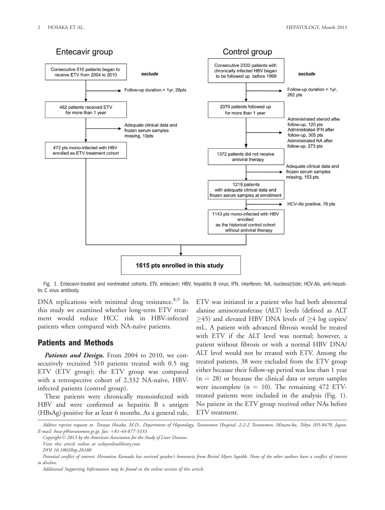

Fig. 1. Entecavir-treated and nontreated cohorts. ETV, entecavir; HBV, hepatitis B virus; IFN, interferon; NA, nucleos(t)ide; HCV-Ab, anti-hepatitis C virus antibody.

DNA replications with minimal drug resistance.<sup>8,9</sup> In this study we examined whether long-term ETV treatment would reduce HCC risk in HBV-infected patients when compared with NA-naïve patients.

## Patients and Methods

Patients and Design. From 2004 to 2010, we consecutively recruited 510 patients treated with 0.5 mg ETV (ETV group); the ETV group was compared with a retrospective cohort of 2,332 NA-naïve, HBVinfected patients (control group).

These patients were chronically monoinfected with HBV and were confirmed as hepatitis B s antigen (HBsAg)-positive for at least 6 months. As a general rule,

ETV was initiated in a patient who had both abnormal alanine aminotransferase (ALT) levels (defined as ALT  $\geq$ 45) and elevated HBV DNA levels of  $\geq$ 4 log copies/ mL. A patient with advanced fibrosis would be treated with ETV if the ALT level was normal; however, a patient without fibrosis or with a normal HBV DNA/ ALT level would not be treated with ETV. Among the treated patients, 38 were excluded from the ETV group either because their follow-up period was less than 1 year  $(n = 28)$  or because the clinical data or serum samples were incomplete ( $n = 10$ ). The remaining 472 ETVtreated patients were included in the analysis (Fig. 1). No patient in the ETV group received other NAs before ETV treatment.

Address reprint requests to: Tetsuya Hosaka, M.D., Department of Hepatology, Toranomon Hospital, 2-2-2 Toranomon, Minato-ku, Tokyo 105-8470, Japan. E-mail: hosa-p@toranomon.gr.jp; fax:  $+81-44-877-5333$ .

Copyright © 2013 by the American Association for the Study of Liver Diseases. View this article online at wileyonlinelibrary.com. DOI 10.1002/hep.26180

Potential conflict of interest: Hiromitsu Kumada has received speaker's honoraria from Bristol Myers Squibb. None of the other authors have a conflict of interest to disclose.

Additional Supporting Information may be found in the online version of this article.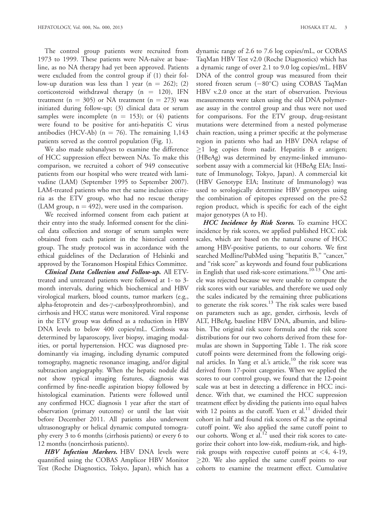The control group patients were recruited from 1973 to 1999. These patients were NA-naïve at baseline, as no NA therapy had yet been approved. Patients were excluded from the control group if (1) their follow-up duration was less than 1 year ( $n = 262$ ); (2) corticosteroid withdrawal therapy  $(n = 120)$ , IFN treatment ( $n = 305$ ) or NA treatment ( $n = 273$ ) was initiated during follow-up; (3) clinical data or serum samples were incomplete ( $n = 153$ ); or (4) patients were found to be positive for anti-hepatitis C virus antibodies (HCV-Ab) ( $n = 76$ ). The remaining 1,143 patients served as the control population (Fig. 1).

We also made subanalyses to examine the difference of HCC suppression effect between NAs. To make this comparison, we recruited a cohort of 949 consecutive patients from our hospital who were treated with lamivudine (LAM) (September 1995 to September 2007). LAM-treated patients who met the same inclusion criteria as the ETV group, who had no rescue therapy (LAM group,  $n = 492$ ), were used in the comparison.

We received informed consent from each patient at their entry into the study. Informed consent for the clinical data collection and storage of serum samples were obtained from each patient in the historical control group. The study protocol was in accordance with the ethical guidelines of the Declaration of Helsinki and approved by the Toranomon Hospital Ethics Committee.

Clinical Data Collection and Follow-up. All ETVtreated and untreated patients were followed at 1- to 3 month intervals, during which biochemical and HBV virological markers, blood counts, tumor markers (e.g., alpha-fetoprotein and des- $\gamma$ -carboxylprothrombin), and cirrhosis and HCC status were monitored. Viral response in the ETV group was defined as a reduction in HBV DNA levels to below 400 copies/mL. Cirrhosis was determined by laparoscopy, liver biopsy, imaging modalities, or portal hypertension. HCC was diagnosed predominantly via imaging, including dynamic computed tomography, magnetic resonance imaging, and/or digital subtraction angiography. When the hepatic nodule did not show typical imaging features, diagnosis was confirmed by fine-needle aspiration biopsy followed by histological examination. Patients were followed until any confirmed HCC diagnosis 1 year after the start of observation (primary outcome) or until the last visit before December 2011. All patients also underwent ultrasonography or helical dynamic computed tomography every 3 to 6 months (cirrhosis patients) or every 6 to 12 months (noncirrhosis patients).

HBV Infection Markers. HBV DNA levels were quantified using the COBAS Amplicor HBV Monitor Test (Roche Diagnostics, Tokyo, Japan), which has a dynamic range of 2.6 to 7.6 log copies/mL, or COBAS TaqMan HBV Test v2.0 (Roche Diagnostics) which has a dynamic range of over 2.1 to 9.0 log copies/mL. HBV DNA of the control group was measured from their stored frozen serum (-80°C) using COBAS TaqMan HBV v.2.0 once at the start of observation. Previous measurements were taken using the old DNA polymerase assay in the control group and thus were not used for comparisons. For the ETV group, drug-resistant mutations were determined from a nested polymerase chain reaction, using a primer specific at the polymerase region in patients who had an HBV DNA relapse of  $\geq$ 1 log copies from nadir. Hepatitis B e antigen; (HBeAg) was determined by enzyme-linked immunosorbent assay with a commercial kit (HBeAg EIA; Institute of Immunology, Tokyo, Japan). A commercial kit (HBV Genotype EIA; Institute of Immunology) was used to serologically determine HBV genotypes using the combination of epitopes expressed on the pre-S2 region product, which is specific for each of the eight major genotypes (A to H).

HCC Incidence by Risk Scores. To examine HCC incidence by risk scores, we applied published HCC risk scales, which are based on the natural course of HCC among HBV-positive patients, to our cohorts. We first searched Medline/PubMed using "hepatitis B," "cancer," and ''risk score'' as keywords and found four publications in English that used risk-score estimations.<sup>10-13</sup> One article was rejected because we were unable to compute the risk scores with our variables, and therefore we used only the scales indicated by the remaining three publications to generate the risk scores.13 The risk scales were based on parameters such as age, gender, cirrhosis, levels of ALT, HBeAg, baseline HBV DNA, albumin, and bilirubin. The original risk score formula and the risk score distributions for our two cohorts derived from these formulas are shown in Supporting Table 1. The risk score cutoff points were determined from the following original articles. In Yang et al.'s article,<sup>10</sup> the risk score was derived from 17-point categories. When we applied the scores to our control group, we found that the 12-point scale was at best in detecting a difference in HCC incidence. With that, we examined the HCC suppression treatment effect by dividing the patients into equal halves with 12 points as the cutoff. Yuen et al. $^{11}$  divided their cohort in half and found risk scores of 82 as the optimal cutoff point. We also applied the same cutoff point to our cohorts. Wong et al.<sup>12</sup> used their risk scores to categorize their cohort into low-risk, medium-risk, and highrisk groups with respective cutoff points at  $\langle 4, 4-19, 4-19 \rangle$  $\geq$ 20. We also applied the same cutoff points to our cohorts to examine the treatment effect. Cumulative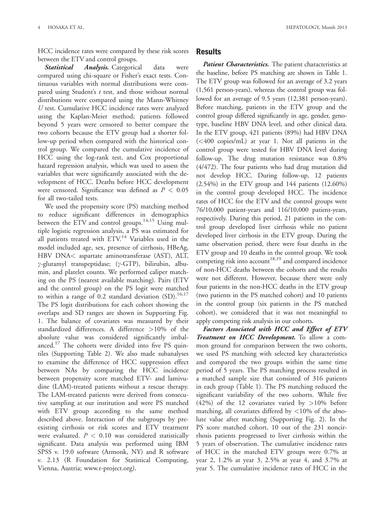HCC incidence rates were compared by these risk scores between the ETV and control groups.

Statistical Analysis. Categorical data were compared using chi-square or Fisher's exact tests. Continuous variables with normal distributions were compared using Student's  $t$  test, and those without normal distributions were compared using the Mann-Whitney U test. Cumulative HCC incidence rates were analyzed using the Kaplan-Meier method; patients followed beyond 5 years were censored to better compare the two cohorts because the ETV group had a shorter follow-up period when compared with the historical control group. We compared the cumulative incidence of HCC using the log-rank test, and Cox proportional hazard regression analysis, which was used to assess the variables that were significantly associated with the development of HCC. Deaths before HCC development were censored. Significance was defined as  $P < 0.05$ for all two-tailed tests.

We used the propensity score (PS) matching method to reduce significant differences in demographics between the ETV and control groups.<sup>14,15</sup> Using multiple logistic regression analysis, a PS was estimated for all patients treated with ETV.<sup>14</sup> Variables used in the model included age, sex, presence of cirrhosis, HBeAg, HBV DNA< aspartate aminotransferase (AST), ALT,  $\gamma$ -glutamyl transpeptidase; ( $\gamma$ -GTP), bilirubin, albumin, and platelet counts. We performed caliper matching on the PS (nearest available matching). Pairs (ETV and the control group) on the PS logit were matched to within a range of  $0.2$  standard deviation  $(SD)$ .<sup>16,17</sup> The PS logit distributions for each cohort showing the overlaps and SD ranges are shown in Supporting Fig. 1. The balance of covariates was measured by their standardized differences. A difference >10% of the absolute value was considered significantly imbalanced.<sup>17</sup> The cohorts were divided into five PS quintiles (Supporting Table 2). We also made subanalyses to examine the difference of HCC suppression effect between NAs by comparing the HCC incidence between propensity score matched ETV- and lamivudine (LAM)-treated patients without a rescue therapy. The LAM-treated patients were derived from consecutive sampling at our institution and were PS matched with ETV group according to the same method described above. Interaction of the subgroups by preexisting cirrhosis or risk scores and ETV treatment were evaluated.  $P < 0.10$  was considered statistically significant. Data analysis was performed using IBM SPSS v. 19.0 software (Armonk, NY) and R software v. 2.13 (R Foundation for Statistical Computing, Vienna, Austria; www.r-project.org).

### Results

**Patient Characteristics.** The patient characteristics at the baseline, before PS matching are shown in Table 1. The ETV group was followed for an average of 3.2 years (1,561 person-years), whereas the control group was followed for an average of 9.5 years (12,381 person-years). Before matching, patients in the ETV group and the control group differed significantly in age, gender, genotype, baseline HBV DNA level, and other clinical data. In the ETV group, 421 patients (89%) had HBV DNA (<400 copies/mL) at year 1. Not all patients in the control group were tested for HBV DNA level during follow-up. The drug mutation resistance was 0.8% (4/472). The four patients who had drug mutation did not develop HCC. During follow-up, 12 patients (2.54%) in the ETV group and 144 patients (12.60%) in the control group developed HCC. The incidence rates of HCC for the ETV and the control groups were 76/10,000 patient-years and 116/10,000 patient-years, respectively. During this period, 21 patients in the control group developed liver cirrhosis while no patient developed liver cirrhosis in the ETV group. During the same observation period, there were four deaths in the ETV group and 10 deaths in the control group. We took competing risk into account<sup>18,19</sup> and compared incidence of non-HCC deaths between the cohorts and the results were not different. However, because there were only four patients in the non-HCC deaths in the ETV group (two patients in the PS matched cohort) and 10 patients in the control group (six patients in the PS matched cohort), we considered that it was not meaningful to apply competing risk analysis in our cohorts.

Factors Associated with HCC and Effect of ETV Treatment on HCC Development. To allow a common ground for comparison between the two cohorts, we used PS matching with selected key characteristics and compared the two groups within the same time period of 5 years. The PS matching process resulted in a matched sample size that consisted of 316 patients in each group (Table 1). The PS matching reduced the significant variability of the two cohorts. While five  $(42%)$  of the 12 covariates varied by  $>10%$  before matching, all covariates differed by  $\langle 10\%$  of the absolute value after matching (Supporting Fig. 2). In the PS score matched cohort, 10 out of the 231 noncirrhosis patients progressed to liver cirrhosis within the 5 years of observation. The cumulative incidence rates of HCC in the matched ETV groups were 0.7% at year 2, 1.2% at year 3, 2.5% at year 4, and 3.7% at year 5. The cumulative incidence rates of HCC in the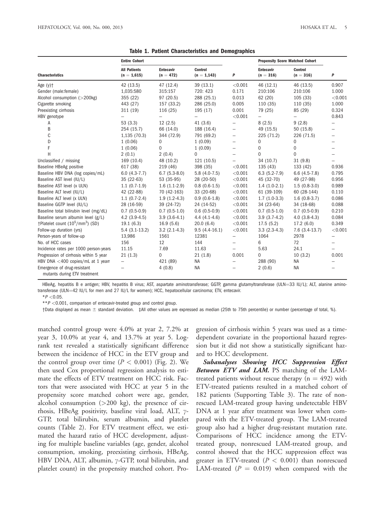|                                                             | <b>Entire Cohort</b>                 |                                 |                           |                          | <b>Propensity Score Matched Cohort</b> |                               |                          |
|-------------------------------------------------------------|--------------------------------------|---------------------------------|---------------------------|--------------------------|----------------------------------------|-------------------------------|--------------------------|
| <b>Characteristics</b>                                      | <b>All Patients</b><br>$(n = 1,615)$ | <b>Entecavir</b><br>$(n = 472)$ | Control<br>$(n = 1, 143)$ | P                        | <b>Entecavir</b><br>$(n = 316)$        | <b>Control</b><br>$(n = 316)$ | P                        |
| Age $(y)$ <sup>+</sup>                                      | 42 (13.5)                            | 47 (12.4)                       | 39 (13.1)                 | < 0.001                  | 46 (12.1)                              | 46 (13.5)                     | 0.907                    |
| Gender (male:female)                                        | 1,035:580                            | 315:157                         | 720: 423                  | 0.171                    | 210:106                                | 210:106                       | 1.000                    |
| Alcohol consumption (>200kg)                                | 355 (22)                             | 97 (20.5)                       | 288 (25.1)                | 0.013                    | 62(20)                                 | 105(33)                       | < 0.001                  |
| Cigarette smoking                                           | 443 (27)                             | 157 (33.2)                      | 286 (25.0)                | 0.005                    | 110 (35)                               | 110(35)                       | 1.000                    |
| Preexisting cirrhosis                                       | 311 (19)                             | 116 (25)                        | 195 (17)                  | 0.001                    | 79 (25)                                | 85 (29)                       | 0.324                    |
| HBV genotype                                                |                                      |                                 |                           | < 0.001                  | $\overline{\phantom{0}}$               | $\overline{\phantom{0}}$      | 0.843                    |
| Α                                                           | 53(3.3)                              | 12(2.5)                         | 41(3.6)                   | $\qquad \qquad -$        | 8(2.5)                                 | 9(2.8)                        | $\overline{\phantom{0}}$ |
| B                                                           | 254 (15.7)                           | 66 (14.0)                       | 188 (16.4)                | $\overline{\phantom{0}}$ | 49 (15.5)                              | 50 (15.8)                     | $\qquad \qquad -$        |
| С                                                           | 1,135 (70.3)                         | 344 (72.9)                      | 791 (69.2)                | $\overline{\phantom{m}}$ | 225 (71.2)                             | 226 (71.5)                    |                          |
| D                                                           | 1(0.06)                              | 0                               | 1(0.09)                   | $\equiv$                 | 0                                      | 0                             | $\overline{\phantom{0}}$ |
|                                                             | 1(0.06)                              | $\Omega$                        | 1(0.09)                   | $\overline{\phantom{0}}$ | 0                                      | 0                             |                          |
| Н                                                           | 2(0.1)                               | 2(0.4)                          | $\Omega$                  | $\overline{\phantom{m}}$ | 0                                      | $\mathbf 0$                   | $\overline{\phantom{0}}$ |
| Unclassified / missing                                      | 169 (10.4)                           | 48 (10.2)                       | 121(10.5)                 | $\overline{\phantom{0}}$ | 34 (10.7)                              | 31 (9.8)                      | $\overline{\phantom{0}}$ |
| Baseline HBeAg positive                                     | 617 (38)                             | 219 (46)                        | 398 (35)                  | < 0.001                  | 135 (43)                               | 133 (42)                      | 0.936                    |
| Baseline HBV DNA (log copies/mL)                            | $6.0(4.3-7.7)$                       | $6.7(5.3-8.0)$                  | $5.8(4.0-7.5)$            | < 0.001                  | $6.3(5.2-7.9)$                         | $6.6(4.5-7.8)$                | 0.795                    |
| Baseline AST level (IU/L)                                   | $35(22-63)$                          | 53 (35-95)                      | 28 (20-50)                | < 0.001                  | 45 (32-70)                             | 49 (27-98)                    | 0.956                    |
| Baseline AST level (x ULN)                                  | $1.1(0.7-1.9)$                       | $1.6(1.1-2.9)$                  | $0.8(0.6-1.5)$            | < 0.001                  | $1.4(1.0-2.1)$                         | $1.5(0.8-3.0)$                | 0.989                    |
| Baseline ALT level (IU/L)                                   | 42 (22-88)                           | 70 (42-163)                     | 33 (20-68)                | < 0.001                  | 61 (39-109)                            | 60 (28-144)                   | 0.110                    |
| Baseline ALT level (x ULN)                                  | $1.1(0.7-2.4)$                       | $1.9(1.2-4.3)$                  | $0.9(0.6-1.8)$            | < 0.001                  | $1.7(1.0-3.3)$                         | $1.6(0.8-3.7)$                | 0.086                    |
| Baseline GGTP level (IU/L)                                  | 28 (16-59)                           | 39 (24-72)                      | 24 (14-52)                | < 0.001                  | 34 (23-64)                             | 34 (18-68)                    | 0.088                    |
| Baseline total bilirubin level (mg/dL)                      | $0.7(0.5-0.9)$                       | $0.7(0.5-1.0)$                  | $0.6(0.5-0.9)$            | < 0.001                  | $0.7(0.5-1.0)$                         | $0.7(0.5-0.9)$                | 0.210                    |
| Baseline serum albumin level (g/L)                          | $4.2(3.9-4.5)$                       | $3.9(3.6-4.1)$                  | $4.4(4.1-4.6)$            | < 0.001                  | $3.9(3.7-4.2)$                         | $4.0(3.8-4.3)$                | 0.084                    |
| †Platelet count $(10^5/\text{mm}^3)$ (SD)                   | 19.1(6.3)                            | 16.9(5.6)                       | 20.0(6.4)                 | < 0.001                  | 17.5(5.2)                              | 17.2(6.0)                     | 0.349                    |
| Follow-up duration (yrs)                                    | $5.4(3.1-13.2)$                      | $3.2(2.1-4.3)$                  | $9.5(4.4-16.1)$           | < 0.001                  | $3.3(2.3-4.3)$                         | $7.6(3.4-13.7)$               | < 0.001                  |
| Person-years of follow-up                                   | 13,986                               | 1561                            | 12381                     | $\qquad \qquad -$        | 1064                                   | 2978                          |                          |
| No. of HCC cases                                            | 156                                  | 12                              | 144                       | $\overline{\phantom{m}}$ | 6                                      | 72                            | $\overline{\phantom{0}}$ |
| Incidence rates per 1000 person-years                       | 11.15                                | 7.69                            | 11.63                     |                          | 5.63                                   | 24.1                          |                          |
| Progression of cirrhosis within 5 year                      | 21(1.3)                              | $\mathbf 0$                     | 21(1.8)                   | 0.001                    | 0                                      | 10(3.2)                       | 0.001                    |
| HBV DNA <400 copies/mL at 1 yearr                           | $\equiv$                             | 421 (89)                        | <b>NA</b>                 |                          | 288 (90)                               | <b>NA</b>                     |                          |
| Emergence of drug-resistant<br>mutants during ETV treatment |                                      | 4(0.8)                          | <b>NA</b>                 |                          | 2(0.6)                                 | <b>NA</b>                     |                          |

HBeAg, hepatitis B e antigen; HBV, hepatitis B virus; AST, aspartate aminotransferase; GGTP, gamma glutamyltransferase (ULN=33 IU/L); ALT, alanine aminotransferase (ULN=42 IU/L for men and 27 IU/L for women); HCC, hepatocellular carcinoma; ETV, entecavir.

 $*P < 0.05$ .

 $*P < 0.001$ , comparison of entecavir-treated group and control group.

†Data displayed as mean 6 standard deviation. ‡All other values are expressed as median (25th to 75th percentile) or number (percentage of total, %).

matched control group were 4.0% at year 2, 7.2% at year 3, 10.0% at year 4, and 13.7% at year 5. Logrank test revealed a statistically significant difference between the incidence of HCC in the ETV group and the control group over time ( $P < 0.001$ ) (Fig. 2). We then used Cox proportional regression analysis to estimate the effects of ETV treatment on HCC risk. Factors that were associated with HCC at year 5 in the propensity score matched cohort were age, gender, alcohol consumption  $(>200 \text{ kg})$ , the presence of cirrhosis, HBeAg positivity, baseline viral load, ALT,  $\gamma$ -GTP, total bilirubin, serum albumin, and platelet counts (Table 2). For ETV treatment effect, we estimated the hazard ratio of HCC development, adjusting for multiple baseline variables (age, gender, alcohol consumption, smoking, preexisting cirrhosis, HBeAg, HBV DNA, ALT, albumin,  $\gamma$ -GTP, total bilirubin, and platelet count) in the propensity matched cohort. Pro-

gression of cirrhosis within 5 years was used as a timedependent covariate in the proportional hazard regression but it did not show a statistically significant hazard to HCC development.

Subanalyses Showing HCC Suppression Effect Between ETV and LAM. PS matching of the LAMtreated patients without rescue therapy ( $n = 492$ ) with ETV-treated patients resulted in a matched cohort of 182 patients (Supporting Table 3). The rate of nonrescued LAM-treated group having undetectable HBV DNA at 1 year after treatment was lower when compared with the ETV-treated group. The LAM-treated group also had a higher drug-resistant mutation rate. Comparisons of HCC incidence among the ETVtreated group, nonrescued LAM-treated group, and control showed that the HCC suppression effect was greater in ETV-treated ( $P < 0.001$ ) than nonrescued LAM-treated ( $P = 0.019$ ) when compared with the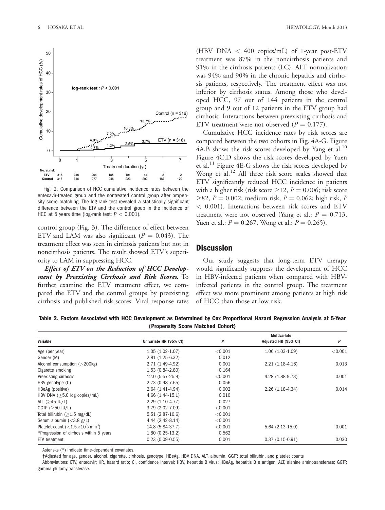

Fig. 2. Comparison of HCC cumulative incidence rates between the entecavir-treated group and the nontreated control group after propensity score matching. The log-rank test revealed a statistically significant difference between the ETV and the control group in the incidence of HCC at 5 years time (log-rank test:  $P < 0.001$ ).

control group (Fig. 3). The difference of effect between ETV and LAM was also significant ( $P = 0.043$ ). The treatment effect was seen in cirrhosis patients but not in noncirrhosis patients. The result showed ETV's superiority to LAM in suppressing HCC.

Effect of ETV on the Reduction of HCC Development by Preexisting Cirrhosis and Risk Scores. To further examine the ETV treatment effect, we compared the ETV and the control groups by preexisting cirrhosis and published risk scores. Viral response rates

(HBV DNA  $<$  400 copies/mL) of 1-year post-ETV treatment was 87% in the noncirrhosis patients and 91% in the cirrhosis patients (LC). ALT normalization was 94% and 90% in the chronic hepatitis and cirrhosis patients, respectively. The treatment effect was not inferior by cirrhosis status. Among those who developed HCC, 97 out of 144 patients in the control group and 9 out of 12 patients in the ETV group had cirrhosis. Interactions between preexisting cirrhosis and ETV treatment were not observed  $(P = 0.177)$ .

Cumulative HCC incidence rates by risk scores are compared between the two cohorts in Fig. 4A-G. Figure 4A,B shows the risk scores developed by Yang et al.<sup>10</sup> Figure 4C,D shows the risk scores developed by Yuen et al.<sup>11</sup> Figure 4E-G shows the risk scores developed by Wong et al.<sup>12</sup> All three risk score scales showed that ETV significantly reduced HCC incidence in patients with a higher risk (risk score  $\geq$ 12,  $P = 0.006$ ; risk score  $>82$ ,  $P = 0.002$ ; medium risk,  $P = 0.062$ ; high risk, P < 0.001). Interactions between risk scores and ETV treatment were not observed (Yang et al.:  $P = 0.713$ , Yuen et al.:  $P = 0.267$ , Wong et al.:  $P = 0.265$ ).

#### **Discussion**

Our study suggests that long-term ETV therapy would significantly suppress the development of HCC in HBV-infected patients when compared with HBVinfected patients in the control group. The treatment effect was more prominent among patients at high risk of HCC than those at low risk.

Table 2. Factors Associated with HCC Development as Determined by Cox Proportional Hazard Regression Analysis at 5-Year (Propensity Score Matched Cohort)

| Variable                                      | Univariate HR (95% CI) | P       | <b>Multivariate</b><br>Adjusted HR (95% CI) | P       |
|-----------------------------------------------|------------------------|---------|---------------------------------------------|---------|
| Age (per year)                                | $1.05(1.02-1.07)$      | < 0.001 | $1.06(1.03-1.09)$                           | < 0.001 |
| Gender (M)                                    | 2.81 (1.25-6.32)       | 0.012   |                                             |         |
| Alcohol consumption $(>200$ kg)               | 2.71 (1.49-4.92)       | 0.001   | $2.21(1.18-4.16)$                           | 0.013   |
| Cigarette smoking                             | 1.53 (0.84-2.80)       | 0.164   |                                             |         |
| Preexisting cirrhosis                         | 12.0 (5.57-25.9)       | < 0.001 | 4.28 (1.88-9.73)                            | 0.001   |
| HBV genotype (C)                              | 2.73 (0.98-7.65)       | 0.056   |                                             |         |
| HBeAg (positive)                              | $2.64(1.41-4.94)$      | 0.002   | 2.26 (1.18-4.34)                            | 0.014   |
| HBV DNA $(>5.0$ log copies/mL)                | $4.66(1.44-15.1)$      | 0.010   |                                             |         |
| ALT ( $>45$ IU/L)                             | 2.29 (1.10-4.77)       | 0.027   |                                             |         |
| GGTP ( $>50$ IU/L)                            | 3.79 (2.02-7.09)       | < 0.001 |                                             |         |
| Total bilirubin ( $>1.5$ mg/dL)               | $5.51(2.87-10.6)$      | < 0.001 |                                             |         |
| Serum albumin $(<3.8 \text{ g/L})$            | 4.44 (2.42-8.14)       | < 0.001 |                                             |         |
| Platelet count $(<1.5\times10^5/\text{mm}^3)$ | 14.8 (5.84-37.7)       | < 0.001 | $5.64(2.13-15.0)$                           | 0.001   |
| *Progression of cirrhosis within 5 years      | $1.80(0.25-13.2)$      | 0.562   |                                             |         |
| ETV treatment                                 | $0.23(0.09-0.55)$      | 0.001   | $0.37(0.15-0.91)$                           | 0.030   |

Asterisks (\*) indicate time-dependent covariates.

†Adjusted for age, gender, alcohol, cigarette, cirrhosis, genotype, HBeAg, HBV DNA, ALT, albumin, GGTP, total bilirubin, and platelet counts

Abbreviations: ETV, entecavir; HR, hazard ratio; CI, confidence interval; HBV, hepatitis B virus; HBeAg, hepatitis B e antigen; ALT, alanine aminotransferase; GGTP, gamma glutamyltransferase.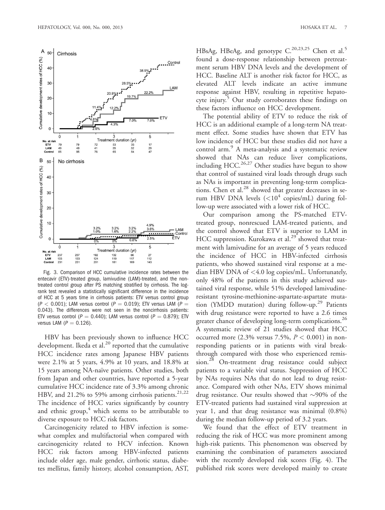

Fig. 3. Comparison of HCC cumulative incidence rates between the entecavir (ETV)-treated group, lamivudine (LAM)-treated, and the nontreated control group after PS matching stratified by cirrhosis. The logrank test revealed a statistically significant difference in the incidence of HCC at 5 years time in cirrhosis patients: ETV versus control group  $(P < 0.001)$ ; LAM versus control  $(P = 0.019)$ ; ETV versus LAM  $(P = 0.019)$ 0.043). The differences were not seen in the noncirrhosis patients: ETV versus control ( $P = 0.440$ ); LAM versus control ( $P = 0.879$ ); ETV versus LAM ( $P = 0.126$ ).

HBV has been previously shown to influence HCC development. Ikeda et al.<sup>20</sup> reported that the cumulative HCC incidence rates among Japanese HBV patients were 2.1% at 5 years, 4.9% at 10 years, and 18.8% at 15 years among NA-naïve patients. Other studies, both from Japan and other countries, have reported a 5-year cumulative HCC incidence rate of 3.3% among chronic HBV, and 21.2% to 59% among cirrhosis patients.<sup>21,22</sup> The incidence of HCC varies significantly by country and ethnic group, $4$  which seems to be attributable to diverse exposure to HCC risk factors.

Carcinogenicity related to HBV infection is somewhat complex and multifactorial when compared with carcinogenicity related to HCV infection. Known HCC risk factors among HBV-infected patients include older age, male gender, cirrhotic status, diabetes mellitus, family history, alcohol consumption, AST, HBsAg, HBeAg, and genotype  $C^{20,23,25}$  Chen et al.<sup>5</sup> found a dose-response relationship between pretreatment serum HBV DNA levels and the development of HCC. Baseline ALT is another risk factor for HCC, as elevated ALT levels indicate an active immune response against HBV, resulting in repetitive hepatocyte injury.<sup>5</sup> Our study corroborates these findings on these factors influence on HCC development.

The potential ability of ETV to reduce the risk of HCC is an additional example of a long-term NA treatment effect. Some studies have shown that ETV has low incidence of HCC but these studies did not have a control arm.<sup>9</sup> A meta-analysis and a systematic review showed that NAs can reduce liver complications, including HCC.<sup>26,27</sup> Other studies have begun to show that control of sustained viral loads through drugs such as NAs is important in preventing long-term complications. Chen et al.<sup>28</sup> showed that greater decreases in serum HBV DNA levels  $(<10<sup>4</sup>$  copies/mL) during follow-up were associated with a lower risk of HCC.

Our comparison among the PS-matched ETVtreated group, nonrescued LAM-treated patients, and the control showed that ETV is superior to LAM in HCC suppression. Kurokawa et al.<sup>29</sup> showed that treatment with lamivudine for an average of 5 years reduced the incidence of HCC in HBV-infected cirrhosis patients, who showed sustained viral response at a median HBV DNA of <4.0 log copies/mL. Unfortunately, only 48% of the patients in this study achieved sustained viral response, while 51% developed lamivudineresistant tyrosine-methionine-aspartate-aspartate mutation (YMDD mutation) during follow-up.<sup>29</sup> Patients with drug resistance were reported to have a 2.6 times greater chance of developing long-term complications.<sup>26</sup> A systematic review of 21 studies showed that HCC occurred more  $(2.3\%$  versus 7.5%,  $P < 0.001$ ) in nonresponding patients or in patients with viral breakthrough compared with those who experienced remission.<sup>28</sup> On-treatment drug resistance could subject patients to a variable viral status. Suppression of HCC by NAs requires NAs that do not lead to drug resistance. Compared with other NAs, ETV shows minimal drug resistance. Our results showed that  $\sim$ 90% of the ETV-treated patients had sustained viral suppression at year 1, and that drug resistance was minimal (0.8%) during the median follow-up period of 3.2 years.

We found that the effect of ETV treatment in reducing the risk of HCC was more prominent among high-risk patients. This phenomenon was observed by examining the combination of parameters associated with the recently developed risk scores (Fig. 4). The published risk scores were developed mainly to create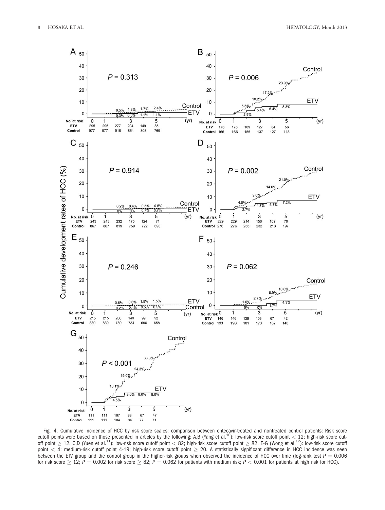

Fig. 4. Cumulative incidence of HCC by risk score scales: comparison between entecavir-treated and nontreated control patients: Risk score cutoff points were based on those presented in articles by the following: A,B (Yang et al.<sup>10</sup>): low-risk score cutoff point < 12; high-risk score cutoff point  $\geq$  12. C,D (Yuen et al.<sup>11</sup>): low-risk score cutoff point < 82; high-risk score cutoff point  $\geq$  82. E-G (Wong et al.<sup>12</sup>): low-risk score cutoff point  $<$  4; medium-risk cutoff point 4-19; high-risk score cutoff point  $\geq$  20. A statistically significant difference in HCC incidence was seen between the ETV group and the control group in the higher-risk groups when observed the incidence of HCC over time (log-rank test  $P = 0.006$ for risk score  $\geq 12$ ; P = 0.002 for risk score  $\geq 82$ ; P = 0.062 for patients with medium risk; P < 0.001 for patients at high risk for HCC).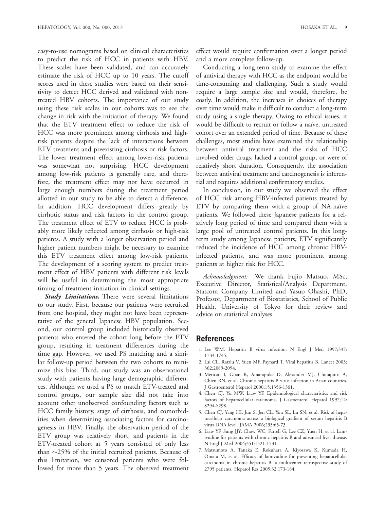easy-to-use nomograms based on clinical characteristics to predict the risk of HCC in patients with HBV. These scales have been validated, and can accurately estimate the risk of HCC up to 10 years. The cutoff scores used in these studies were based on their sensitivity to detect HCC derived and validated with nontreated HBV cohorts. The importance of our study using these risk scales in our cohorts was to see the change in risk with the initiation of therapy. We found that the ETV treatment effect to reduce the risk of HCC was more prominent among cirrhosis and highrisk patients despite the lack of interactions between ETV treatment and preexisting cirrhosis or risk factors. The lower treatment effect among lower-risk patients was somewhat not surprising. HCC development among low-risk patients is generally rare, and therefore, the treatment effect may not have occurred in large enough numbers during the treatment period allotted in our study to be able to detect a difference. In addition, HCC development differs greatly by cirrhotic status and risk factors in the control group. The treatment effect of ETV to reduce HCC is probably more likely reflected among cirrhosis or high-risk patients. A study with a longer observation period and higher patient numbers might be necessary to examine this ETV treatment effect among low-risk patients. The development of a scoring system to predict treatment effect of HBV patients with different risk levels will be useful in determining the most appropriate timing of treatment initiation in clinical settings.

Study Limitations. There were several limitations to our study. First, because our patients were recruited from one hospital, they might not have been representative of the general Japanese HBV population. Second, our control group included historically observed patients who entered the cohort long before the ETV group, resulting in treatment differences during the time gap. However, we used PS matching and a similar follow-up period between the two cohorts to minimize this bias. Third, our study was an observational study with patients having large demographic differences. Although we used a PS to match ETV-treated and control groups, our sample size did not take into account other unobserved confounding factors such as HCC family history, stage of cirrhosis, and comorbidities when determining associating factors for carcinogenesis in HBV. Finally, the observation period of the ETV group was relatively short, and patients in the ETV-treated cohort at 5 years consisted of only less than  $\sim$ 25% of the initial recruited patients. Because of this limitation, we censored patients who were followed for more than 5 years. The observed treatment

effect would require confirmation over a longer period and a more complete follow-up.

Conducting a long-term study to examine the effect of antiviral therapy with HCC as the endpoint would be time-consuming and challenging. Such a study would require a large sample size and would, therefore, be costly. In addition, the increases in choices of therapy over time would make it difficult to conduct a long-term study using a single therapy. Owing to ethical issues, it would be difficult to recruit or follow a naïve, untreated cohort over an extended period of time. Because of these challenges, most studies have examined the relationship between antiviral treatment and the risks of HCC involved older drugs, lacked a control group, or were of relatively short duration. Consequently, the association between antiviral treatment and carcinogenesis is inferential and requires additional confirmatory studies.

In conclusion, in our study we observed the effect of HCC risk among HBV-infected patients treated by ETV by comparing them with a group of NA-naïve patients. We followed these Japanese patients for a relatively long period of time and compared them with a large pool of untreated control patients. In this longterm study among Japanese patients, ETV significantly reduced the incidence of HCC among chronic HBVinfected patients, and was more prominent among patients at higher risk for HCC.

Acknowledgment: We thank Fujio Matsuo, MSc, Executive Director, Statistical/Analysis Department, Statcom Company Limited and Yasuo Ohashi, PhD, Professor, Department of Biostatistics, School of Public Health, University of Tokyo for their review and advice on statistical analyses.

#### References

- 1. Lee WM. Hepatitis B virus infection. N Engl J Med 1997;337: 1733-1745.
- 2. Lai CL, Ratziu V, Yuen MF, Paynard T. Viral hepatitis B. Lancet 2003; 362:2089-2094.
- 3. Merican I, Guan R, Amarapuka D, Alexander MJ, Chutaputti A, Chien RN, et al. Chronic hepatitis B virus infection in Asian countries. J Gastroenterol Hepatol 2000;15:1356-1361.
- 4. Chen CJ, Yu MW, Liaw YF. Epidemiological characteristics and risk factors of hepatocellular carcinoma. J Gastoenterol Hepatol 1997;12: S294-S298.
- 5. Chen CJ, Yang HI, Jun S, Jen CL, You SL, Lu SN, et al. Risk of hepatocellular carcinoma across a biological gradient of serum hepatitis B virus DNA level. JAMA 2006;295:65-73.
- 6. Liaw YF, Sung JJY, Chow WC, Farrell G, Lee CZ, Yuen H, et al. Lamivudine for patients with chronic hepatitis B and advanced liver disease. N Engl J Med 2004;351:1521-1531.
- 7. Matsumoto A, Tanaka E, Rokuhara A, Kiyosawa K, Kumada H, Omata M, et al. Efficacy of lamivudine for preventing hepatocellular carcinoma in chronic hepatitis B: a multicenter retrospective study of 2795 patients. Hepatol Res 2005;32:173-184.